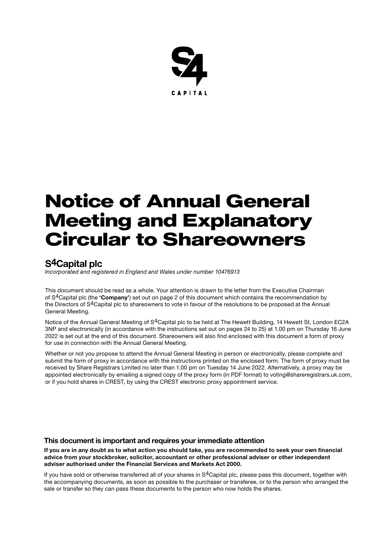

# Notice of Annual General Meeting and Explanatory Circular to Shareowners

## S4Capital plc

*Incorporated and registered in England and Wales under number 10476913*

This document should be read as a whole. Your attention is drawn to the letter from the Executive Chairman of S<sup>4</sup>Capital plc (the 'Company') set out on page 2 of this document which contains the recommendation by the Directors of S4Capital plc to shareowners to vote in favour of the resolutions to be proposed at the Annual General Meeting.

Notice of the Annual General Meeting of S<sup>4</sup>Capital plc to be held at The Hewett Building, 14 Hewett St, London EC2A 3NP and electronically (in accordance with the instructions set out on pages 24 to 25) at 1.00 pm on Thursday 16 June 2022 is set out at the end of this document. Shareowners will also find enclosed with this document a form of proxy for use in connection with the Annual General Meeting.

Whether or not you propose to attend the Annual General Meeting in person or electronically, please complete and submit the form of proxy in accordance with the instructions printed on the enclosed form. The form of proxy must be received by Share Registrars Limited no later than 1.00 pm on Tuesday 14 June 2022. Alternatively, a proxy may be appointed electronically by emailing a signed copy of the proxy form (in PDF format) to voting@shareregistrars.uk.com, or if you hold shares in CREST, by using the CREST electronic proxy appointment service.

### This document is important and requires your immediate attention

If you are in any doubt as to what action you should take, you are recommended to seek your own financial advice from your stockbroker, solicitor, accountant or other professional adviser or other independent adviser authorised under the Financial Services and Markets Act 2000.

If you have sold or otherwise transferred all of your shares in S<sup>4</sup>Capital plc, please pass this document, together with the accompanying documents, as soon as possible to the purchaser or transferee, or to the person who arranged the sale or transfer so they can pass these documents to the person who now holds the shares.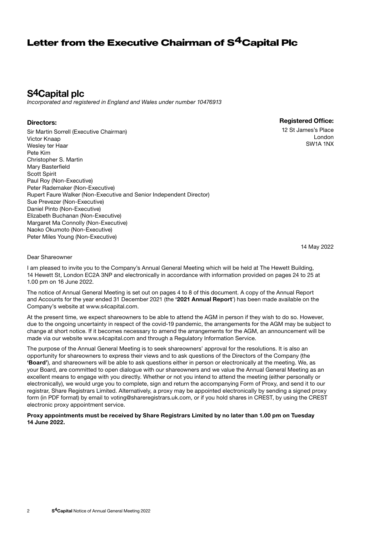## Letter from the Executive Chairman of S<sup>4</sup>Capital Plc

## S4Capital plc

*Incorporated and registered in England and Wales under number 10476913*

### Directors:

Sir Martin Sorrell (Executive Chairman) Victor Knaap Wesley ter Haar Pete Kim Christopher S. Martin Mary Basterfield Scott Spirit Paul Roy (Non-Executive) Peter Rademaker (Non-Executive) Rupert Faure Walker (Non-Executive and Senior Independent Director) Sue Prevezer (Non-Executive) Daniel Pinto (Non-Executive) Elizabeth Buchanan (Non-Executive) Margaret Ma Connolly (Non-Executive) Naoko Okumoto (Non-Executive) Peter Miles Young (Non-Executive)

Registered Office:

12 St James's Place London SW1A 1NX

14 May 2022

#### Dear Shareowner

I am pleased to invite you to the Company's Annual General Meeting which will be held at The Hewett Building, 14 Hewett St, London EC2A 3NP and electronically in accordance with information provided on pages 24 to 25 at 1.00 pm on 16 June 2022.

The notice of Annual General Meeting is set out on pages 4 to 8 of this document. A copy of the Annual Report and Accounts for the year ended 31 December 2021 (the '2021 Annual Report') has been made available on the Company's website at www.s4capital.com.

At the present time, we expect shareowners to be able to attend the AGM in person if they wish to do so. However, due to the ongoing uncertainty in respect of the covid-19 pandemic, the arrangements for the AGM may be subject to change at short notice. If it becomes necessary to amend the arrangements for the AGM, an announcement will be made via our website www.s4capital.com and through a Regulatory Information Service.

The purpose of the Annual General Meeting is to seek shareowners' approval for the resolutions. It is also an opportunity for shareowners to express their views and to ask questions of the Directors of the Company (the 'Board'), and shareowners will be able to ask questions either in person or electronically at the meeting. We, as your Board, are committed to open dialogue with our shareowners and we value the Annual General Meeting as an excellent means to engage with you directly. Whether or not you intend to attend the meeting (either personally or electronically), we would urge you to complete, sign and return the accompanying Form of Proxy, and send it to our registrar, Share Registrars Limited. Alternatively, a proxy may be appointed electronically by sending a signed proxy form (in PDF format) by email to voting@shareregistrars.uk.com, or if you hold shares in CREST, by using the CREST electronic proxy appointment service.

#### Proxy appointments must be received by Share Registrars Limited by no later than 1.00 pm on Tuesday 14 June 2022.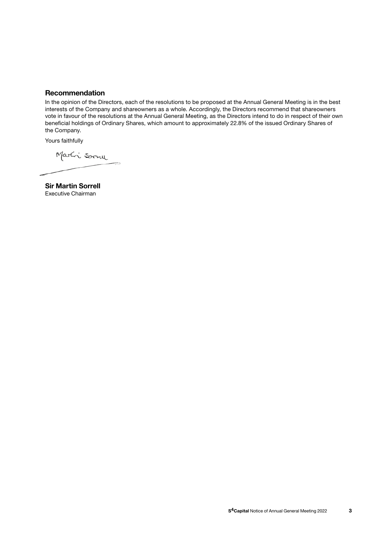### Recommendation

In the opinion of the Directors, each of the resolutions to be proposed at the Annual General Meeting is in the best interests of the Company and shareowners as a whole. Accordingly, the Directors recommend that shareowners vote in favour of the resolutions at the Annual General Meeting, as the Directors intend to do in respect of their own beneficial holdings of Ordinary Shares, which amount to approximately 22.8% of the issued Ordinary Shares of the Company.

Yours faithfully

Marti Sorru

Sir Martin Sorrell Executive Chairman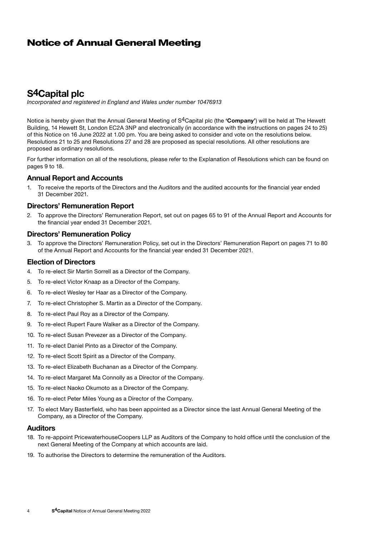## Notice of Annual General Meeting

## S4Capital plc

*Incorporated and registered in England and Wales under number 10476913*

Notice is hereby given that the Annual General Meeting of S<sup>4</sup>Capital plc (the 'Company') will be held at The Hewett Building, 14 Hewett St, London EC2A 3NP and electronically (in accordance with the instructions on pages 24 to 25) of this Notice on 16 June 2022 at 1.00 pm. You are being asked to consider and vote on the resolutions below. Resolutions 21 to 25 and Resolutions 27 and 28 are proposed as special resolutions. All other resolutions are proposed as ordinary resolutions.

For further information on all of the resolutions, please refer to the Explanation of Resolutions which can be found on pages 9 to 18.

### Annual Report and Accounts

1. To receive the reports of the Directors and the Auditors and the audited accounts for the financial year ended 31 December 2021.

## Directors' Remuneration Report

2. To approve the Directors' Remuneration Report, set out on pages 65 to 91 of the Annual Report and Accounts for the financial year ended 31 December 2021.

#### Directors' Remuneration Policy

3. To approve the Directors' Remuneration Policy, set out in the Directors' Remuneration Report on pages 71 to 80 of the Annual Report and Accounts for the financial year ended 31 December 2021.

### Election of Directors

- 4. To re-elect Sir Martin Sorrell as a Director of the Company.
- 5. To re-elect Victor Knaap as a Director of the Company.
- 6. To re-elect Wesley ter Haar as a Director of the Company.
- 7. To re-elect Christopher S. Martin as a Director of the Company.
- 8. To re-elect Paul Roy as a Director of the Company.
- 9. To re-elect Rupert Faure Walker as a Director of the Company.
- 10. To re-elect Susan Prevezer as a Director of the Company.
- 11. To re-elect Daniel Pinto as a Director of the Company.
- 12. To re-elect Scott Spirit as a Director of the Company.
- 13. To re-elect Elizabeth Buchanan as a Director of the Company.
- 14. To re-elect Margaret Ma Connolly as a Director of the Company.
- 15. To re-elect Naoko Okumoto as a Director of the Company.
- 16. To re-elect Peter Miles Young as a Director of the Company.
- 17. To elect Mary Basterfield, who has been appointed as a Director since the last Annual General Meeting of the Company, as a Director of the Company.

#### Auditors

- 18. To re-appoint PricewaterhouseCoopers LLP as Auditors of the Company to hold office until the conclusion of the next General Meeting of the Company at which accounts are laid.
- 19. To authorise the Directors to determine the remuneration of the Auditors.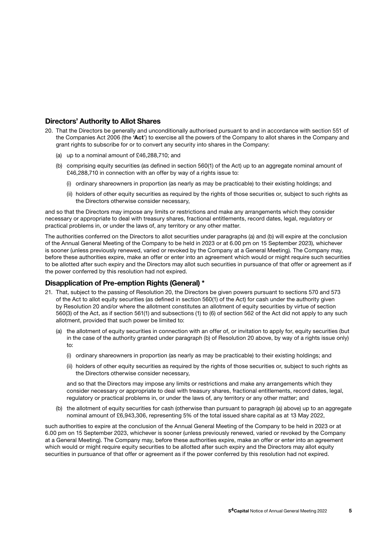## Directors' Authority to Allot Shares

- 20. That the Directors be generally and unconditionally authorised pursuant to and in accordance with section 551 of the Companies Act 2006 (the 'Act') to exercise all the powers of the Company to allot shares in the Company and grant rights to subscribe for or to convert any security into shares in the Company:
	- (a) up to a nominal amount of £46,288,710; and
	- (b) comprising equity securities (as defined in section 560(1) of the Act) up to an aggregate nominal amount of £46,288,710 in connection with an offer by way of a rights issue to:
		- (i) ordinary shareowners in proportion (as nearly as may be practicable) to their existing holdings; and
		- (ii) holders of other equity securities as required by the rights of those securities or, subject to such rights as the Directors otherwise consider necessary,

and so that the Directors may impose any limits or restrictions and make any arrangements which they consider necessary or appropriate to deal with treasury shares, fractional entitlements, record dates, legal, regulatory or practical problems in, or under the laws of, any territory or any other matter.

The authorities conferred on the Directors to allot securities under paragraphs (a) and (b) will expire at the conclusion of the Annual General Meeting of the Company to be held in 2023 or at 6.00 pm on 15 September 2023), whichever is sooner (unless previously renewed, varied or revoked by the Company at a General Meeting). The Company may, before these authorities expire, make an offer or enter into an agreement which would or might require such securities to be allotted after such expiry and the Directors may allot such securities in pursuance of that offer or agreement as if the power conferred by this resolution had not expired.

### Disapplication of Pre-emption Rights (General) \*

- 21. That, subject to the passing of Resolution 20, the Directors be given powers pursuant to sections 570 and 573 of the Act to allot equity securities (as defined in section 560(1) of the Act) for cash under the authority given by Resolution 20 and/or where the allotment constitutes an allotment of equity securities by virtue of section 560(3) of the Act, as if section 561(1) and subsections (1) to (6) of section 562 of the Act did not apply to any such allotment, provided that such power be limited to:
	- (a) the allotment of equity securities in connection with an offer of, or invitation to apply for, equity securities (but in the case of the authority granted under paragraph (b) of Resolution 20 above, by way of a rights issue only) to:
		- (i) ordinary shareowners in proportion (as nearly as may be practicable) to their existing holdings; and
		- (ii) holders of other equity securities as required by the rights of those securities or, subject to such rights as the Directors otherwise consider necessary,

 and so that the Directors may impose any limits or restrictions and make any arrangements which they consider necessary or appropriate to deal with treasury shares, fractional entitlements, record dates, legal, regulatory or practical problems in, or under the laws of, any territory or any other matter; and

(b) the allotment of equity securities for cash (otherwise than pursuant to paragraph (a) above) up to an aggregate nominal amount of £6,943,306, representing 5% of the total issued share capital as at 13 May 2022,

such authorities to expire at the conclusion of the Annual General Meeting of the Company to be held in 2023 or at 6.00 pm on 15 September 2023, whichever is sooner (unless previously renewed, varied or revoked by the Company at a General Meeting). The Company may, before these authorities expire, make an offer or enter into an agreement which would or might require equity securities to be allotted after such expiry and the Directors may allot equity securities in pursuance of that offer or agreement as if the power conferred by this resolution had not expired.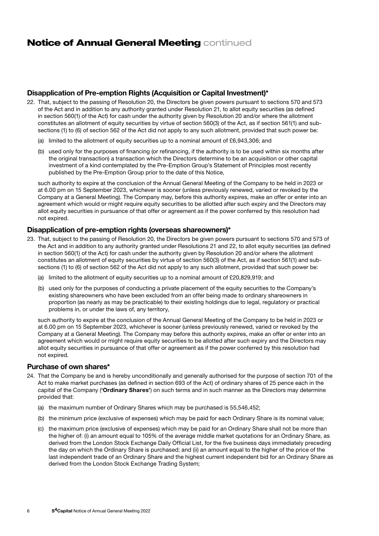## **Notice of Annual General Meeting continued**

## Disapplication of Pre-emption Rights (Acquisition or Capital Investment)\*

- 22. That, subject to the passing of Resolution 20, the Directors be given powers pursuant to sections 570 and 573 of the Act and in addition to any authority granted under Resolution 21, to allot equity securities (as defined in section 560(1) of the Act) for cash under the authority given by Resolution 20 and/or where the allotment constitutes an allotment of equity securities by virtue of section 560(3) of the Act, as if section 561(1) and subsections (1) to (6) of section 562 of the Act did not apply to any such allotment, provided that such power be:
	- (a) limited to the allotment of equity securities up to a nominal amount of £6,943,306; and
	- (b) used only for the purposes of financing (or refinancing, if the authority is to be used within six months after the original transaction) a transaction which the Directors determine to be an acquisition or other capital investment of a kind contemplated by the Pre-Emption Group's Statement of Principles most recently published by the Pre-Emption Group prior to the date of this Notice,

 such authority to expire at the conclusion of the Annual General Meeting of the Company to be held in 2023 or at 6.00 pm on 15 September 2023, whichever is sooner (unless previously renewed, varied or revoked by the Company at a General Meeting). The Company may, before this authority expires, make an offer or enter into an agreement which would or might require equity securities to be allotted after such expiry and the Directors may allot equity securities in pursuance of that offer or agreement as if the power conferred by this resolution had not expired.

### Disapplication of pre-emption rights (overseas shareowners)\*

- 23. That, subject to the passing of Resolution 20, the Directors be given powers pursuant to sections 570 and 573 of the Act and in addition to any authority granted under Resolutions 21 and 22, to allot equity securities (as defined in section 560(1) of the Act) for cash under the authority given by Resolution 20 and/or where the allotment constitutes an allotment of equity securities by virtue of section 560(3) of the Act, as if section 561(1) and subsections (1) to (6) of section 562 of the Act did not apply to any such allotment, provided that such power be:
	- (a) limited to the allotment of equity securities up to a nominal amount of £20,829,919; and
	- (b) used only for the purposes of conducting a private placement of the equity securities to the Company's existing shareowners who have been excluded from an offer being made to ordinary shareowners in proportion (as nearly as may be practicable) to their existing holdings due to legal, regulatory or practical problems in, or under the laws of, any territory,

such authority to expire at the conclusion of the Annual General Meeting of the Company to be held in 2023 or at 6.00 pm on 15 September 2023, whichever is sooner (unless previously renewed, varied or revoked by the Company at a General Meeting). The Company may before this authority expires, make an offer or enter into an agreement which would or might require equity securities to be allotted after such expiry and the Directors may allot equity securities in pursuance of that offer or agreement as if the power conferred by this resolution had not expired.

#### Purchase of own shares\*

- 24. That the Company be and is hereby unconditionally and generally authorised for the purpose of section 701 of the Act to make market purchases (as defined in section 693 of the Act) of ordinary shares of 25 pence each in the capital of the Company ('Ordinary Shares') on such terms and in such manner as the Directors may determine provided that:
	- (a) the maximum number of Ordinary Shares which may be purchased is 55,546,452;
	- (b) the minimum price (exclusive of expenses) which may be paid for each Ordinary Share is its nominal value;
	- (c) the maximum price (exclusive of expenses) which may be paid for an Ordinary Share shall not be more than the higher of: (i) an amount equal to 105% of the average middle market quotations for an Ordinary Share, as derived from the London Stock Exchange Daily Official List, for the five business days immediately preceding the day on which the Ordinary Share is purchased; and (ii) an amount equal to the higher of the price of the last independent trade of an Ordinary Share and the highest current independent bid for an Ordinary Share as derived from the London Stock Exchange Trading System;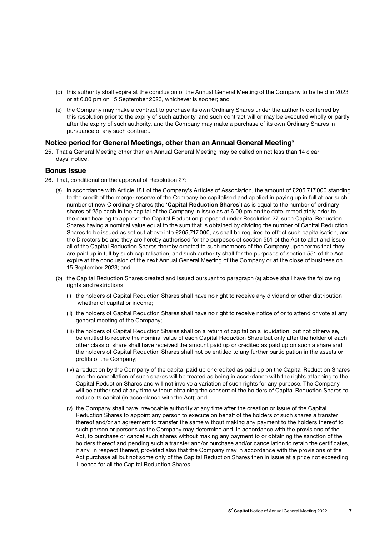- (d) this authority shall expire at the conclusion of the Annual General Meeting of the Company to be held in 2023 or at 6.00 pm on 15 September 2023, whichever is sooner; and
- (e) the Company may make a contract to purchase its own Ordinary Shares under the authority conferred by this resolution prior to the expiry of such authority, and such contract will or may be executed wholly or partly after the expiry of such authority, and the Company may make a purchase of its own Ordinary Shares in pursuance of any such contract.

### Notice period for General Meetings, other than an Annual General Meeting\*

25. That a General Meeting other than an Annual General Meeting may be called on not less than 14 clear days' notice.

### Bonus Issue

- 26. That, conditional on the approval of Resolution 27:
	- (a) in accordance with Article 181 of the Company's Articles of Association, the amount of £205,717,000 standing to the credit of the merger reserve of the Company be capitalised and applied in paying up in full at par such number of new C ordinary shares (the 'Capital Reduction Shares') as is equal to the number of ordinary shares of 25p each in the capital of the Company in issue as at 6.00 pm on the date immediately prior to the court hearing to approve the Capital Reduction proposed under Resolution 27, such Capital Reduction Shares having a nominal value equal to the sum that is obtained by dividing the number of Capital Reduction Shares to be issued as set out above into £205,717,000, as shall be required to effect such capitalisation, and the Directors be and they are hereby authorised for the purposes of section 551 of the Act to allot and issue all of the Capital Reduction Shares thereby created to such members of the Company upon terms that they are paid up in full by such capitalisation, and such authority shall for the purposes of section 551 of the Act expire at the conclusion of the next Annual General Meeting of the Company or at the close of business on 15 September 2023; and
	- (b) the Capital Reduction Shares created and issued pursuant to paragraph (a) above shall have the following rights and restrictions:
		- (i) the holders of Capital Reduction Shares shall have no right to receive any dividend or other distribution whether of capital or income;
		- (ii) the holders of Capital Reduction Shares shall have no right to receive notice of or to attend or vote at any general meeting of the Company;
		- (iii) the holders of Capital Reduction Shares shall on a return of capital on a liquidation, but not otherwise, be entitled to receive the nominal value of each Capital Reduction Share but only after the holder of each other class of share shall have received the amount paid up or credited as paid up on such a share and the holders of Capital Reduction Shares shall not be entitled to any further participation in the assets or profits of the Company;
		- (iv) a reduction by the Company of the capital paid up or credited as paid up on the Capital Reduction Shares and the cancellation of such shares will be treated as being in accordance with the rights attaching to the Capital Reduction Shares and will not involve a variation of such rights for any purpose. The Company will be authorised at any time without obtaining the consent of the holders of Capital Reduction Shares to reduce its capital (in accordance with the Act); and
		- (v) the Company shall have irrevocable authority at any time after the creation or issue of the Capital Reduction Shares to appoint any person to execute on behalf of the holders of such shares a transfer thereof and/or an agreement to transfer the same without making any payment to the holders thereof to such person or persons as the Company may determine and, in accordance with the provisions of the Act, to purchase or cancel such shares without making any payment to or obtaining the sanction of the holders thereof and pending such a transfer and/or purchase and/or cancellation to retain the certificates, if any, in respect thereof, provided also that the Company may in accordance with the provisions of the Act purchase all but not some only of the Capital Reduction Shares then in issue at a price not exceeding 1 pence for all the Capital Reduction Shares.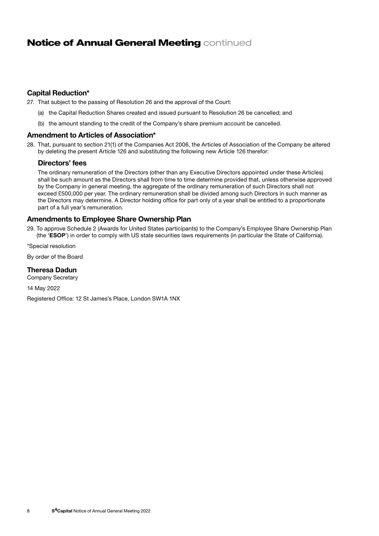## **Notice of Annual General Meeting continued**

## Capital Reduction\*

27. That subject to the passing of Resolution 26 and the approval of the Court:

- (a) the Capital Reduction Shares created and issued pursuant to Resolution 26 be cancelled; and
- (b) the amount standing to the credit of the Company's share premium account be cancelled.

### Amendment to Articles of Association\*

28. That, pursuant to section 21(1) of the Companies Act 2006, the Articles of Association of the Company be altered by deleting the present Article 126 and substituting the following new Article 126 therefor:

### Directors' fees

 The ordinary remuneration of the Directors (other than any Executive Directors appointed under these Articles) shall be such amount as the Directors shall from time to time determine provided that, unless otherwise approved by the Company in general meeting, the aggregate of the ordinary remuneration of such Directors shall not exceed £500,000 per year. The ordinary remuneration shall be divided among such Directors in such manner as the Directors may determine. A Director holding office for part only of a year shall be entitled to a proportionate part of a full year's remuneration.

## Amendments to Employee Share Ownership Plan

29. To approve Schedule 2 (Awards for United States participants) to the Company's Employee Share Ownership Plan (the 'ESOP') in order to comply with US state securities laws requirements (in particular the State of California).

\*Special resolution

By order of the Board

#### Theresa Dadun

Company Secretary

14 May 2022

Registered Office: 12 St James's Place, London SW1A 1NX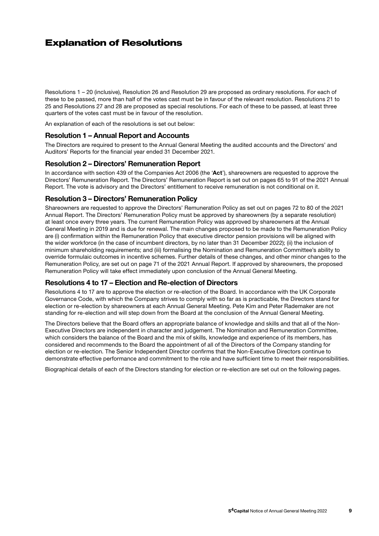## Explanation of Resolutions

Resolutions 1 – 20 (inclusive), Resolution 26 and Resolution 29 are proposed as ordinary resolutions. For each of these to be passed, more than half of the votes cast must be in favour of the relevant resolution. Resolutions 21 to 25 and Resolutions 27 and 28 are proposed as special resolutions. For each of these to be passed, at least three quarters of the votes cast must be in favour of the resolution.

An explanation of each of the resolutions is set out below:

#### Resolution 1 – Annual Report and Accounts

The Directors are required to present to the Annual General Meeting the audited accounts and the Directors' and Auditors' Reports for the financial year ended 31 December 2021.

### Resolution 2 – Directors' Remuneration Report

In accordance with section 439 of the Companies Act 2006 (the 'Act'), shareowners are requested to approve the Directors' Remuneration Report. The Directors' Remuneration Report is set out on pages 65 to 91 of the 2021 Annual Report. The vote is advisory and the Directors' entitlement to receive remuneration is not conditional on it.

### Resolution 3 – Directors' Remuneration Policy

Shareowners are requested to approve the Directors' Remuneration Policy as set out on pages 72 to 80 of the 2021 Annual Report. The Directors' Remuneration Policy must be approved by shareowners (by a separate resolution) at least once every three years. The current Remuneration Policy was approved by shareowners at the Annual General Meeting in 2019 and is due for renewal. The main changes proposed to be made to the Remuneration Policy are (i) confirmation within the Remuneration Policy that executive director pension provisions will be aligned with the wider workforce (in the case of incumbent directors, by no later than 31 December 2022); (ii) the inclusion of minimum shareholding requirements; and (iii) formalising the Nomination and Remuneration Committee's ability to override formulaic outcomes in incentive schemes. Further details of these changes, and other minor changes to the Remuneration Policy, are set out on page 71 of the 2021 Annual Report. If approved by shareowners, the proposed Remuneration Policy will take effect immediately upon conclusion of the Annual General Meeting.

#### Resolutions 4 to 17 – Election and Re-election of Directors

Resolutions 4 to 17 are to approve the election or re-election of the Board. In accordance with the UK Corporate Governance Code, with which the Company strives to comply with so far as is practicable, the Directors stand for election or re-election by shareowners at each Annual General Meeting. Pete Kim and Peter Rademaker are not standing for re-election and will step down from the Board at the conclusion of the Annual General Meeting.

The Directors believe that the Board offers an appropriate balance of knowledge and skills and that all of the Non-Executive Directors are independent in character and judgement. The Nomination and Remuneration Committee, which considers the balance of the Board and the mix of skills, knowledge and experience of its members, has considered and recommends to the Board the appointment of all of the Directors of the Company standing for election or re-election. The Senior Independent Director confirms that the Non-Executive Directors continue to demonstrate effective performance and commitment to the role and have sufficient time to meet their responsibilities.

Biographical details of each of the Directors standing for election or re-election are set out on the following pages.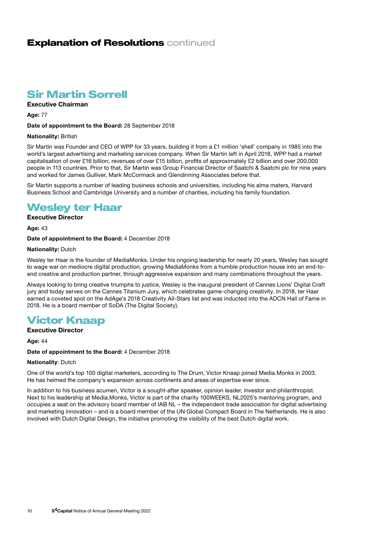## **Explanation of Resolutions continued**

## Sir Martin Sorrell

### Executive Chairman

Age: 77

#### Date of appointment to the Board: 28 September 2018

#### Nationality: British

Sir Martin was Founder and CEO of WPP for 33 years, building it from a £1 million 'shell' company in 1985 into the world's largest advertising and marketing services company. When Sir Martin left in April 2018, WPP had a market capitalisation of over £16 billion, revenues of over £15 billion, profits of approximately £2 billion and over 200,000 people in 113 countries. Prior to that, Sir Martin was Group Financial Director of Saatchi & Saatchi plc for nine years and worked for James Gulliver, Mark McCormack and Glendinning Associates before that.

Sir Martin supports a number of leading business schools and universities, including his alma maters, Harvard Business School and Cambridge University and a number of charities, including his family foundation.

## Wesley ter Haar

## Executive Director

Age: 43

#### Date of appointment to the Board: 4 December 2018

#### **Nationality: Dutch**

Wesley ter Haar is the founder of MediaMonks. Under his ongoing leadership for nearly 20 years, Wesley has sought to wage war on mediocre digital production, growing MediaMonks from a humble production house into an end-toend creative and production partner, through aggressive expansion and many combinations throughout the years.

Always looking to bring creative triumphs to justice, Wesley is the inaugural president of Cannes Lions' Digital Craft jury and today serves on the Cannes Titanium Jury, which celebrates game-changing creativity. In 2018, ter Haar earned a coveted spot on the AdAge's 2018 Creativity All-Stars list and was inducted into the ADCN Hall of Fame in 2018. He is a board member of SoDA (The Digital Society).

## Victor Knaap

## Executive Director

Age: 44

#### Date of appointment to the Board: 4 December 2018

#### Nationality: Dutch

One of the world's top 100 digital marketers, according to The Drum, Victor Knaap joined Media.Monks in 2003. He has helmed the company's expansion across continents and areas of expertise ever since.

In addition to his business acumen, Victor is a sought-after speaker, opinion leader, investor and philanthropist. Next to his leadership at Media.Monks, Victor is part of the charity 100WEEKS, NL2025's mentoring program, and occupies a seat on the advisory board member of IAB NL – the independent trade association for digital advertising and marketing innovation – and is a board member of the UN Global Compact Board in The Netherlands. He is also involved with Dutch Digital Design, the initiative promoting the visibility of the best Dutch digital work.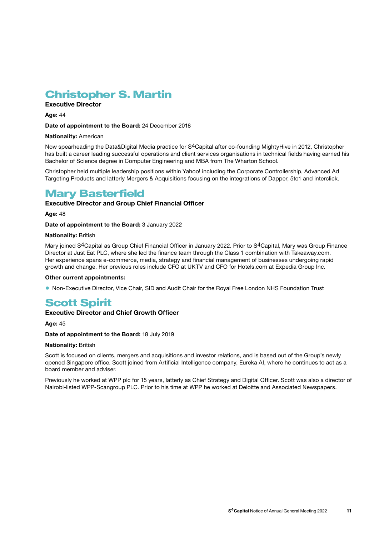## Christopher S. Martin

## Executive Director

Age: 44

#### Date of appointment to the Board: 24 December 2018

#### Nationality: American

Now spearheading the Data&Digital Media practice for S<sup>4</sup>Capital after co-founding MightyHive in 2012, Christopher has built a career leading successful operations and client services organisations in technical fields having earned his Bachelor of Science degree in Computer Engineering and MBA from The Wharton School.

Christopher held multiple leadership positions within Yahoo! including the Corporate Controllership, Advanced Ad Targeting Products and latterly Mergers & Acquisitions focusing on the integrations of Dapper, 5to1 and interclick.

## Mary Basterfield

### Executive Director and Group Chief Financial Officer

Age: 48

Date of appointment to the Board: 3 January 2022

#### Nationality: British

Mary joined S4Capital as Group Chief Financial Officer in January 2022. Prior to S4Capital, Mary was Group Finance Director at Just Eat PLC, where she led the finance team through the Class 1 combination with Takeaway.com. Her experience spans e-commerce, media, strategy and financial management of businesses undergoing rapid growth and change. Her previous roles include CFO at UKTV and CFO for Hotels.com at Expedia Group Inc.

#### Other current appointments:

• Non-Executive Director, Vice Chair, SID and Audit Chair for the Royal Free London NHS Foundation Trust

## **Scott Spirit**

### Executive Director and Chief Growth Officer

Age: 45

#### Date of appointment to the Board: 18 July 2019

### Nationality: British

Scott is focused on clients, mergers and acquisitions and investor relations, and is based out of the Group's newly opened Singapore office. Scott joined from Artificial Intelligence company, Eureka AI, where he continues to act as a board member and adviser.

Previously he worked at WPP plc for 15 years, latterly as Chief Strategy and Digital Officer. Scott was also a director of Nairobi-listed WPP-Scangroup PLC. Prior to his time at WPP he worked at Deloitte and Associated Newspapers.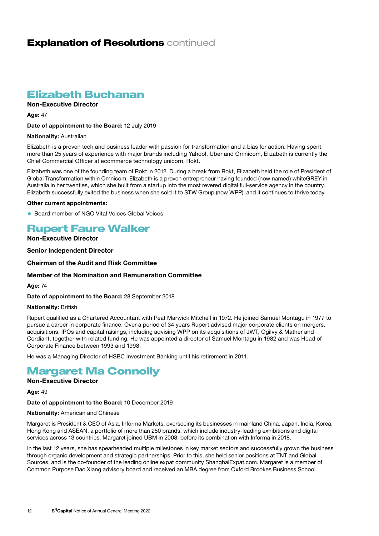## **Explanation of Resolutions continued**

## Elizabeth Buchanan

### Non-Executive Director

**Age: 47** 

#### Date of appointment to the Board: 12 July 2019

#### Nationality: Australian

Elizabeth is a proven tech and business leader with passion for transformation and a bias for action. Having spent more than 25 years of experience with major brands including Yahoo!, Uber and Omnicom, Elizabeth is currently the Chief Commercial Officer at ecommerce technology unicorn, Rokt.

Elizabeth was one of the founding team of Rokt in 2012. During a break from Rokt, Elizabeth held the role of President of Global Transformation within Omnicom. Elizabeth is a proven entrepreneur having founded (now named) whiteGREY in Australia in her twenties, which she built from a startup into the most revered digital full-service agency in the country. Elizabeth successfully exited the business when she sold it to STW Group (now WPP), and it continues to thrive today.

#### Other current appointments:

• Board member of NGO Vital Voices Global Voices

## Rupert Faure Walker

## Non-Executive Director

#### Senior Independent Director

### Chairman of the Audit and Risk Committee

#### Member of the Nomination and Remuneration Committee

Age: 74

#### Date of appointment to the Board: 28 September 2018

#### Nationality: British

Rupert qualified as a Chartered Accountant with Peat Marwick Mitchell in 1972. He joined Samuel Montagu in 1977 to pursue a career in corporate finance. Over a period of 34 years Rupert advised major corporate clients on mergers, acquisitions, IPOs and capital raisings, including advising WPP on its acquisitions of JWT, Ogilvy & Mather and Cordiant, together with related funding. He was appointed a director of Samuel Montagu in 1982 and was Head of Corporate Finance between 1993 and 1998.

He was a Managing Director of HSBC Investment Banking until his retirement in 2011.

## Margaret Ma Connolly

## Non-Executive Director

Age: 49

#### Date of appointment to the Board: 10 December 2019

#### Nationality: American and Chinese

Margaret is President & CEO of Asia, Informa Markets, overseeing its businesses in mainland China, Japan, India, Korea, Hong Kong and ASEAN, a portfolio of more than 250 brands, which include industry-leading exhibitions and digital services across 13 countries. Margaret joined UBM in 2008, before its combination with Informa in 2018.

In the last 12 years, she has spearheaded multiple milestones in key market sectors and successfully grown the business through organic development and strategic partnerships. Prior to this, she held senior positions at TNT and Global Sources, and is the co-founder of the leading online expat community ShanghaiExpat.com. Margaret is a member of Common Purpose Dao Xiang advisory board and received an MBA degree from Oxford Brookes Business School.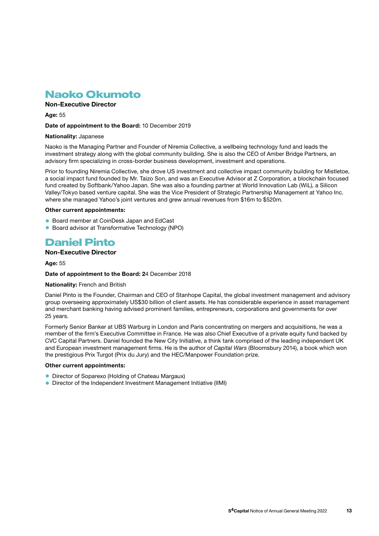## Naoko Okumoto

## Non-Executive Director

Age: 55

#### Date of appointment to the Board: 10 December 2019

#### Nationality: Japanese

Naoko is the Managing Partner and Founder of Niremia Collective, a wellbeing technology fund and leads the investment strategy along with the global community building. She is also the CEO of Amber Bridge Partners, an advisory firm specializing in cross-border business development, investment and operations.

Prior to founding Niremia Collective, she drove US investment and collective impact community building for Mistletoe, a social impact fund founded by Mr. Taizo Son, and was an Executive Advisor at Z Corporation, a blockchain focused fund created by Softbank/Yahoo Japan. She was also a founding partner at World Innovation Lab (WiL), a Silicon Valley/Tokyo based venture capital. She was the Vice President of Strategic Partnership Management at Yahoo Inc. where she managed Yahoo's joint ventures and grew annual revenues from \$16m to \$520m.

#### Other current appointments:

- Board member at CoinDesk Japan and EdCast
- Board advisor at Transformative Technology (NPO)

## Daniel Pinto

#### Non-Executive Director

#### Age: 55

#### Date of appointment to the Board: 24 December 2018

#### Nationality: French and British

Daniel Pinto is the Founder, Chairman and CEO of Stanhope Capital, the global investment management and advisory group overseeing approximately US\$30 billion of client assets. He has considerable experience in asset management and merchant banking having advised prominent families, entrepreneurs, corporations and governments for over 25 years.

Formerly Senior Banker at UBS Warburg in London and Paris concentrating on mergers and acquisitions, he was a member of the firm's Executive Committee in France. He was also Chief Executive of a private equity fund backed by CVC Capital Partners. Daniel founded the New City Initiative, a think tank comprised of the leading independent UK and European investment management firms. He is the author of *Capital Wars* (Bloomsbury 2014), a book which won the prestigious Prix Turgot (Prix du Jury) and the HEC/Manpower Foundation prize.

#### Other current appointments:

- Director of Soparexo (Holding of Chateau Margaux)
- Director of the Independent Investment Management Initiative (IIMI)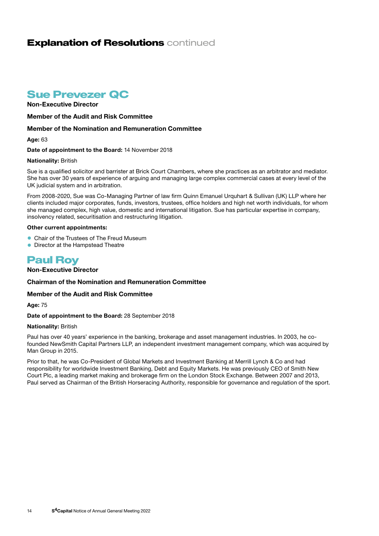## **Explanation of Resolutions continued**

## Sue Prevezer QC

Non-Executive Director

Member of the Audit and Risk Committee

### Member of the Nomination and Remuneration Committee

Age: 63

Date of appointment to the Board: 14 November 2018

#### Nationality: British

Sue is a qualified solicitor and barrister at Brick Court Chambers, where she practices as an arbitrator and mediator. She has over 30 years of experience of arguing and managing large complex commercial cases at every level of the UK judicial system and in arbitration.

From 2008-2020, Sue was Co-Managing Partner of law firm Quinn Emanuel Urquhart & Sullivan (UK) LLP where her clients included major corporates, funds, investors, trustees, office holders and high net worth individuals, for whom she managed complex, high value, domestic and international litigation. Sue has particular expertise in company, insolvency related, securitisation and restructuring litigation.

#### Other current appointments:

- Chair of the Trustees of The Freud Museum
- Director at the Hampstead Theatre

## Paul Roy

### Non-Executive Director

#### Chairman of the Nomination and Remuneration Committee

#### Member of the Audit and Risk Committee

Age: 75

#### Date of appointment to the Board: 28 September 2018

#### Nationality: British

Paul has over 40 years' experience in the banking, brokerage and asset management industries. In 2003, he cofounded NewSmith Capital Partners LLP, an independent investment management company, which was acquired by Man Group in 2015.

Prior to that, he was Co-President of Global Markets and Investment Banking at Merrill Lynch & Co and had responsibility for worldwide Investment Banking, Debt and Equity Markets. He was previously CEO of Smith New Court Plc, a leading market making and brokerage firm on the London Stock Exchange. Between 2007 and 2013, Paul served as Chairman of the British Horseracing Authority, responsible for governance and regulation of the sport.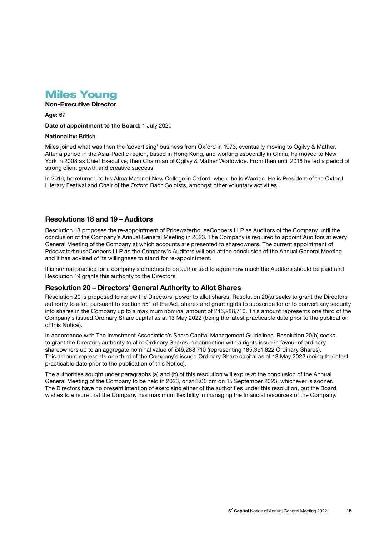

## Non-Executive Director

Age: 67

Date of appointment to the Board: 1 July 2020

#### Nationality: British

Miles joined what was then the 'advertising' business from Oxford in 1973, eventually moving to Ogilvy & Mather. After a period in the Asia-Pacific region, based in Hong Kong, and working especially in China, he moved to New York in 2008 as Chief Executive, then Chairman of Ogilvy & Mather Worldwide. From then until 2016 he led a period of strong client growth and creative success.

In 2016, he returned to his Alma Mater of New College in Oxford, where he is Warden. He is President of the Oxford Literary Festival and Chair of the Oxford Bach Soloists, amongst other voluntary activities.

## Resolutions 18 and 19 – Auditors

Resolution 18 proposes the re-appointment of PricewaterhouseCoopers LLP as Auditors of the Company until the conclusion of the Company's Annual General Meeting in 2023. The Company is required to appoint Auditors at every General Meeting of the Company at which accounts are presented to shareowners. The current appointment of PricewaterhouseCoopers LLP as the Company's Auditors will end at the conclusion of the Annual General Meeting and it has advised of its willingness to stand for re-appointment.

It is normal practice for a company's directors to be authorised to agree how much the Auditors should be paid and Resolution 19 grants this authority to the Directors.

### Resolution 20 – Directors' General Authority to Allot Shares

Resolution 20 is proposed to renew the Directors' power to allot shares. Resolution 20(a) seeks to grant the Directors authority to allot, pursuant to section 551 of the Act, shares and grant rights to subscribe for or to convert any security into shares in the Company up to a maximum nominal amount of £46,288,710. This amount represents one third of the Company's issued Ordinary Share capital as at 13 May 2022 (being the latest practicable date prior to the publication of this Notice).

In accordance with The Investment Association's Share Capital Management Guidelines, Resolution 20(b) seeks to grant the Directors authority to allot Ordinary Shares in connection with a rights issue in favour of ordinary shareowners up to an aggregate nominal value of £46,288,710 (representing 185,361,822 Ordinary Shares). This amount represents one third of the Company's issued Ordinary Share capital as at 13 May 2022 (being the latest practicable date prior to the publication of this Notice).

The authorities sought under paragraphs (a) and (b) of this resolution will expire at the conclusion of the Annual General Meeting of the Company to be held in 2023, or at 6.00 pm on 15 September 2023, whichever is sooner. The Directors have no present intention of exercising either of the authorities under this resolution, but the Board wishes to ensure that the Company has maximum flexibility in managing the financial resources of the Company.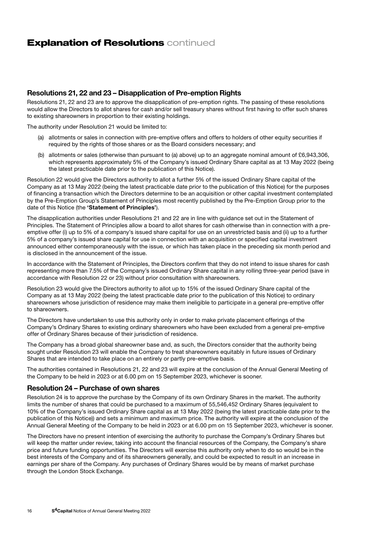## **Explanation of Resolutions continued**

## Resolutions 21, 22 and 23 – Disapplication of Pre-emption Rights

Resolutions 21, 22 and 23 are to approve the disapplication of pre-emption rights. The passing of these resolutions would allow the Directors to allot shares for cash and/or sell treasury shares without first having to offer such shares to existing shareowners in proportion to their existing holdings.

The authority under Resolution 21 would be limited to:

- (a) allotments or sales in connection with pre-emptive offers and offers to holders of other equity securities if required by the rights of those shares or as the Board considers necessary; and
- (b) allotments or sales (otherwise than pursuant to (a) above) up to an aggregate nominal amount of £6,943,306, which represents approximately 5% of the Company's issued Ordinary Share capital as at 13 May 2022 (being the latest practicable date prior to the publication of this Notice).

Resolution 22 would give the Directors authority to allot a further 5% of the issued Ordinary Share capital of the Company as at 13 May 2022 (being the latest practicable date prior to the publication of this Notice) for the purposes of financing a transaction which the Directors determine to be an acquisition or other capital investment contemplated by the Pre-Emption Group's Statement of Principles most recently published by the Pre-Emption Group prior to the date of this Notice (the 'Statement of Principles').

The disapplication authorities under Resolutions 21 and 22 are in line with guidance set out in the Statement of Principles. The Statement of Principles allow a board to allot shares for cash otherwise than in connection with a preemptive offer (i) up to 5% of a company's issued share capital for use on an unrestricted basis and (ii) up to a further 5% of a company's issued share capital for use in connection with an acquisition or specified capital investment announced either contemporaneously with the issue, or which has taken place in the preceding six month period and is disclosed in the announcement of the issue.

In accordance with the Statement of Principles, the Directors confirm that they do not intend to issue shares for cash representing more than 7.5% of the Company's issued Ordinary Share capital in any rolling three-year period (save in accordance with Resolution 22 or 23) without prior consultation with shareowners.

Resolution 23 would give the Directors authority to allot up to 15% of the issued Ordinary Share capital of the Company as at 13 May 2022 (being the latest practicable date prior to the publication of this Notice) to ordinary shareowners whose jurisdiction of residence may make them ineligible to participate in a general pre-emptive offer to shareowners.

The Directors have undertaken to use this authority only in order to make private placement offerings of the Company's Ordinary Shares to existing ordinary shareowners who have been excluded from a general pre-emptive offer of Ordinary Shares because of their jurisdiction of residence.

The Company has a broad global shareowner base and, as such, the Directors consider that the authority being sought under Resolution 23 will enable the Company to treat shareowners equitably in future issues of Ordinary Shares that are intended to take place on an entirely or partly pre-emptive basis.

The authorities contained in Resolutions 21, 22 and 23 will expire at the conclusion of the Annual General Meeting of the Company to be held in 2023 or at 6.00 pm on 15 September 2023, whichever is sooner.

#### Resolution 24 – Purchase of own shares

Resolution 24 is to approve the purchase by the Company of its own Ordinary Shares in the market. The authority limits the number of shares that could be purchased to a maximum of 55,546,452 Ordinary Shares (equivalent to 10% of the Company's issued Ordinary Share capital as at 13 May 2022 (being the latest practicable date prior to the publication of this Notice)) and sets a minimum and maximum price. The authority will expire at the conclusion of the Annual General Meeting of the Company to be held in 2023 or at 6.00 pm on 15 September 2023, whichever is sooner.

The Directors have no present intention of exercising the authority to purchase the Company's Ordinary Shares but will keep the matter under review, taking into account the financial resources of the Company, the Company's share price and future funding opportunities. The Directors will exercise this authority only when to do so would be in the best interests of the Company and of its shareowners generally, and could be expected to result in an increase in earnings per share of the Company. Any purchases of Ordinary Shares would be by means of market purchase through the London Stock Exchange.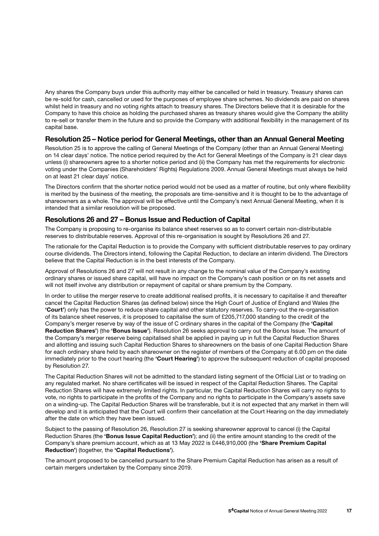Any shares the Company buys under this authority may either be cancelled or held in treasury. Treasury shares can be re-sold for cash, cancelled or used for the purposes of employee share schemes. No dividends are paid on shares whilst held in treasury and no voting rights attach to treasury shares. The Directors believe that it is desirable for the Company to have this choice as holding the purchased shares as treasury shares would give the Company the ability to re-sell or transfer them in the future and so provide the Company with additional flexibility in the management of its capital base.

## Resolution 25 – Notice period for General Meetings, other than an Annual General Meeting

Resolution 25 is to approve the calling of General Meetings of the Company (other than an Annual General Meeting) on 14 clear days' notice. The notice period required by the Act for General Meetings of the Company is 21 clear days unless (i) shareowners agree to a shorter notice period and (ii) the Company has met the requirements for electronic voting under the Companies (Shareholders' Rights) Regulations 2009. Annual General Meetings must always be held on at least 21 clear days' notice.

The Directors confirm that the shorter notice period would not be used as a matter of routine, but only where flexibility is merited by the business of the meeting, the proposals are time-sensitive and it is thought to be to the advantage of shareowners as a whole. The approval will be effective until the Company's next Annual General Meeting, when it is intended that a similar resolution will be proposed.

### Resolutions 26 and 27 – Bonus Issue and Reduction of Capital

The Company is proposing to re-organise its balance sheet reserves so as to convert certain non-distributable reserves to distributable reserves. Approval of this re-organisation is sought by Resolutions 26 and 27.

The rationale for the Capital Reduction is to provide the Company with sufficient distributable reserves to pay ordinary course dividends. The Directors intend, following the Capital Reduction, to declare an interim dividend. The Directors believe that the Capital Reduction is in the best interests of the Company.

Approval of Resolutions 26 and 27 will not result in any change to the nominal value of the Company's existing ordinary shares or issued share capital, will have no impact on the Company's cash position or on its net assets and will not itself involve any distribution or repayment of capital or share premium by the Company.

In order to utilise the merger reserve to create additional realised profits, it is necessary to capitalise it and thereafter cancel the Capital Reduction Shares (as defined below) since the High Court of Justice of England and Wales (the 'Court') only has the power to reduce share capital and other statutory reserves. To carry-out the re-organisation of its balance sheet reserves, it is proposed to capitalise the sum of £205,717,000 standing to the credit of the Company's merger reserve by way of the issue of C ordinary shares in the capital of the Company (the 'Capital Reduction Shares') (the 'Bonus Issue'). Resolution 26 seeks approval to carry out the Bonus Issue. The amount of the Company's merger reserve being capitalised shall be applied in paying up in full the Capital Reduction Shares and allotting and issuing such Capital Reduction Shares to shareowners on the basis of one Capital Reduction Share for each ordinary share held by each shareowner on the register of members of the Company at 6.00 pm on the date immediately prior to the court hearing (the 'Court Hearing') to approve the subsequent reduction of capital proposed by Resolution 27.

The Capital Reduction Shares will not be admitted to the standard listing segment of the Official List or to trading on any regulated market. No share certificates will be issued in respect of the Capital Reduction Shares. The Capital Reduction Shares will have extremely limited rights. In particular, the Capital Reduction Shares will carry no rights to vote, no rights to participate in the profits of the Company and no rights to participate in the Company's assets save on a winding-up. The Capital Reduction Shares will be transferable, but it is not expected that any market in them will develop and it is anticipated that the Court will confirm their cancellation at the Court Hearing on the day immediately after the date on which they have been issued.

Subject to the passing of Resolution 26, Resolution 27 is seeking shareowner approval to cancel (i) the Capital Reduction Shares (the 'Bonus Issue Capital Reduction'); and (ii) the entire amount standing to the credit of the Company's share premium account, which as at 13 May 2022 is £446,910,000 (the 'Share Premium Capital Reduction') (together, the 'Capital Reductions').

The amount proposed to be cancelled pursuant to the Share Premium Capital Reduction has arisen as a result of certain mergers undertaken by the Company since 2019.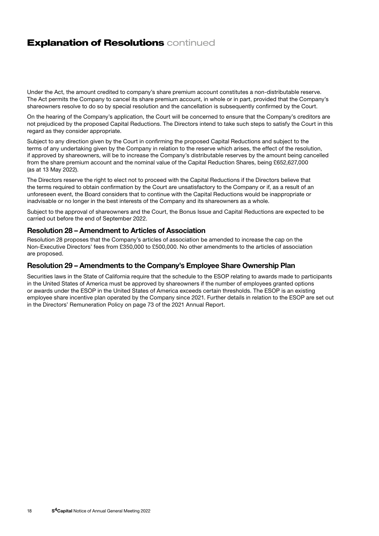## **Explanation of Resolutions continued**

Under the Act, the amount credited to company's share premium account constitutes a non-distributable reserve. The Act permits the Company to cancel its share premium account, in whole or in part, provided that the Company's shareowners resolve to do so by special resolution and the cancellation is subsequently confirmed by the Court.

On the hearing of the Company's application, the Court will be concerned to ensure that the Company's creditors are not prejudiced by the proposed Capital Reductions. The Directors intend to take such steps to satisfy the Court in this regard as they consider appropriate.

Subject to any direction given by the Court in confirming the proposed Capital Reductions and subject to the terms of any undertaking given by the Company in relation to the reserve which arises, the effect of the resolution, if approved by shareowners, will be to increase the Company's distributable reserves by the amount being cancelled from the share premium account and the nominal value of the Capital Reduction Shares, being £652,627,000 (as at 13 May 2022).

The Directors reserve the right to elect not to proceed with the Capital Reductions if the Directors believe that the terms required to obtain confirmation by the Court are unsatisfactory to the Company or if, as a result of an unforeseen event, the Board considers that to continue with the Capital Reductions would be inappropriate or inadvisable or no longer in the best interests of the Company and its shareowners as a whole.

Subject to the approval of shareowners and the Court, the Bonus Issue and Capital Reductions are expected to be carried out before the end of September 2022.

### Resolution 28 – Amendment to Articles of Association

Resolution 28 proposes that the Company's articles of association be amended to increase the cap on the Non-Executive Directors' fees from £350,000 to £500,000. No other amendments to the articles of association are proposed.

### Resolution 29 – Amendments to the Company's Employee Share Ownership Plan

Securities laws in the State of California require that the schedule to the ESOP relating to awards made to participants in the United States of America must be approved by shareowners if the number of employees granted options or awards under the ESOP in the United States of America exceeds certain thresholds. The ESOP is an existing employee share incentive plan operated by the Company since 2021. Further details in relation to the ESOP are set out in the Directors' Remuneration Policy on page 73 of the 2021 Annual Report.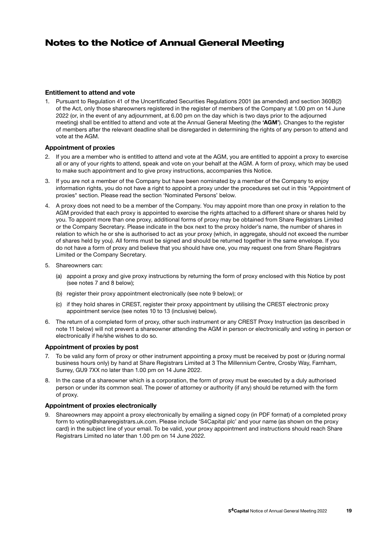## Notes to the Notice of Annual General Meeting

#### Entitlement to attend and vote

1. Pursuant to Regulation 41 of the Uncertificated Securities Regulations 2001 (as amended) and section 360B(2) of the Act, only those shareowners registered in the register of members of the Company at 1.00 pm on 14 June 2022 (or, in the event of any adjournment, at 6.00 pm on the day which is two days prior to the adjourned meeting) shall be entitled to attend and vote at the Annual General Meeting (the 'AGM'). Changes to the register of members after the relevant deadline shall be disregarded in determining the rights of any person to attend and vote at the AGM.

#### Appointment of proxies

- 2. If you are a member who is entitled to attend and vote at the AGM, you are entitled to appoint a proxy to exercise all or any of your rights to attend, speak and vote on your behalf at the AGM. A form of proxy, which may be used to make such appointment and to give proxy instructions, accompanies this Notice.
- 3. If you are not a member of the Company but have been nominated by a member of the Company to enjoy information rights, you do not have a right to appoint a proxy under the procedures set out in this "Appointment of proxies" section. Please read the section 'Nominated Persons' below.
- 4. A proxy does not need to be a member of the Company. You may appoint more than one proxy in relation to the AGM provided that each proxy is appointed to exercise the rights attached to a different share or shares held by you. To appoint more than one proxy, additional forms of proxy may be obtained from Share Registrars Limited or the Company Secretary. Please indicate in the box next to the proxy holder's name, the number of shares in relation to which he or she is authorised to act as your proxy (which, in aggregate, should not exceed the number of shares held by you). All forms must be signed and should be returned together in the same envelope. If you do not have a form of proxy and believe that you should have one, you may request one from Share Registrars Limited or the Company Secretary.
- 5. Shareowners can:
	- (a) appoint a proxy and give proxy instructions by returning the form of proxy enclosed with this Notice by post (see notes 7 and 8 below);
	- (b) register their proxy appointment electronically (see note 9 below); or
	- (c) if they hold shares in CREST, register their proxy appointment by utilising the CREST electronic proxy appointment service (see notes 10 to 13 (inclusive) below).
- 6. The return of a completed form of proxy, other such instrument or any CREST Proxy Instruction (as described in note 11 below) will not prevent a shareowner attending the AGM in person or electronically and voting in person or electronically if he/she wishes to do so.

#### Appointment of proxies by post

- 7. To be valid any form of proxy or other instrument appointing a proxy must be received by post or (during normal business hours only) by hand at Share Registrars Limited at 3 The Millennium Centre, Crosby Way, Farnham, Surrey, GU9 7XX no later than 1.00 pm on 14 June 2022.
- 8. In the case of a shareowner which is a corporation, the form of proxy must be executed by a duly authorised person or under its common seal. The power of attorney or authority (if any) should be returned with the form of proxy.

#### Appointment of proxies electronically

9. Shareowners may appoint a proxy electronically by emailing a signed copy (in PDF format) of a completed proxy form to voting@shareregistrars.uk.com. Please include 'S4Capital plc' and your name (as shown on the proxy card) in the subject line of your email. To be valid, your proxy appointment and instructions should reach Share Registrars Limited no later than 1.00 pm on 14 June 2022.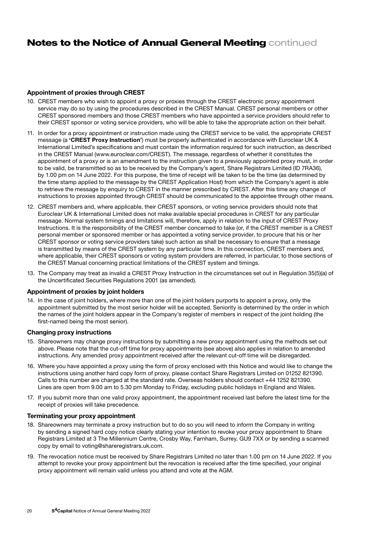## **Notes to the Notice of Annual General Meeting continued**

#### Appointment of proxies through CREST

- 10. CREST members who wish to appoint a proxy or proxies through the CREST electronic proxy appointment service may do so by using the procedures described in the CREST Manual. CREST personal members or other CREST sponsored members and those CREST members who have appointed a service providers should refer to their CREST sponsor or voting service providers, who will be able to take the appropriate action on their behalf.
- 11. In order for a proxy appointment or instruction made using the CREST service to be valid, the appropriate CREST message (a 'CREST Proxy Instruction') must be properly authenticated in accordance with Euroclear UK & International Limited's specifications and must contain the information required for such instruction, as described in the CREST Manual (www.euroclear.com/CREST). The message, regardless of whether it constitutes the appointment of a proxy or is an amendment to the instruction given to a previously appointed proxy must, in order to be valid, be transmitted so as to be received by the Company's agent, Share Registrars Limited (ID 7RA36), by 1.00 pm on 14 June 2022. For this purpose, the time of receipt will be taken to be the time (as determined by the time stamp applied to the message by the CREST Application Host) from which the Company's agent is able to retrieve the message by enquiry to CREST in the manner prescribed by CREST. After this time any change of instructions to proxies appointed through CREST should be communicated to the appointee through other means.
- 12. CREST members and, where applicable, their CREST sponsors, or voting service providers should note that Euroclear UK & International Limited does not make available special procedures in CREST for any particular message. Normal system timings and limitations will, therefore, apply in relation to the input of CREST Proxy Instructions. It is the responsibility of the CREST member concerned to take (or, if the CREST member is a CREST personal member or sponsored member or has appointed a voting service provider, to procure that his or her CREST sponsor or voting service providers take) such action as shall be necessary to ensure that a message is transmitted by means of the CREST system by any particular time. In this connection, CREST members and, where applicable, their CREST sponsors or voting system providers are referred, in particular, to those sections of the CREST Manual concerning practical limitations of the CREST system and timings.
- 13. The Company may treat as invalid a CREST Proxy Instruction in the circumstances set out in Regulation 35(5)(a) of the Uncertificated Securities Regulations 2001 (as amended).

#### Appointment of proxies by joint holders

14. In the case of joint holders, where more than one of the joint holders purports to appoint a proxy, only the appointment submitted by the most senior holder will be accepted. Seniority is determined by the order in which the names of the joint holders appear in the Company's register of members in respect of the joint holding (the first-named being the most senior).

#### Changing proxy instructions

- 15. Shareowners may change proxy instructions by submitting a new proxy appointment using the methods set out above. Please note that the cut-off time for proxy appointments (see above) also applies in relation to amended instructions. Any amended proxy appointment received after the relevant cut-off time will be disregarded.
- 16. Where you have appointed a proxy using the form of proxy enclosed with this Notice and would like to change the instructions using another hard copy form of proxy, please contact Share Registrars Limited on 01252 821390. Calls to this number are charged at the standard rate. Overseas holders should contact +44 1252 821390. Lines are open from 9.00 am to 5.30 pm Monday to Friday, excluding public holidays in England and Wales.
- 17. If you submit more than one valid proxy appointment, the appointment received last before the latest time for the receipt of proxies will take precedence.

#### Terminating your proxy appointment

- 18. Shareowners may terminate a proxy instruction but to do so you will need to inform the Company in writing by sending a signed hard copy notice clearly stating your intention to revoke your proxy appointment to Share Registrars Limited at 3 The Millennium Centre, Crosby Way, Farnham, Surrey, GU9 7XX or by sending a scanned copy by email to voting@shareregistrars.uk.com.
- 19. The revocation notice must be received by Share Registrars Limited no later than 1.00 pm on 14 June 2022. If you attempt to revoke your proxy appointment but the revocation is received after the time specified, your original proxy appointment will remain valid unless you attend and vote at the AGM.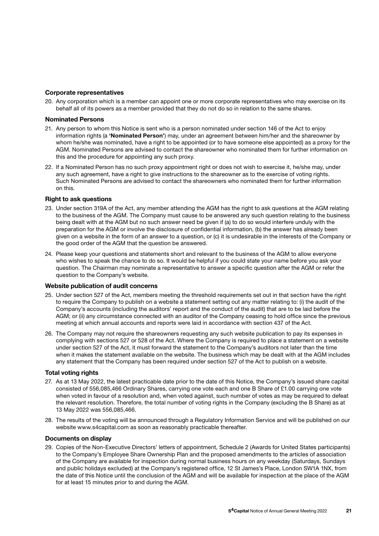#### Corporate representatives

20. Any corporation which is a member can appoint one or more corporate representatives who may exercise on its behalf all of its powers as a member provided that they do not do so in relation to the same shares.

#### Nominated Persons

- 21. Any person to whom this Notice is sent who is a person nominated under section 146 of the Act to enjoy information rights (a 'Nominated Person') may, under an agreement between him/her and the shareowner by whom he/she was nominated, have a right to be appointed (or to have someone else appointed) as a proxy for the AGM. Nominated Persons are advised to contact the shareowner who nominated them for further information on this and the procedure for appointing any such proxy.
- 22. If a Nominated Person has no such proxy appointment right or does not wish to exercise it, he/she may, under any such agreement, have a right to give instructions to the shareowner as to the exercise of voting rights. Such Nominated Persons are advised to contact the shareowners who nominated them for further information on this.

#### Right to ask questions

- 23. Under section 319A of the Act, any member attending the AGM has the right to ask questions at the AGM relating to the business of the AGM. The Company must cause to be answered any such question relating to the business being dealt with at the AGM but no such answer need be given if (a) to do so would interfere unduly with the preparation for the AGM or involve the disclosure of confidential information, (b) the answer has already been given on a website in the form of an answer to a question, or (c) it is undesirable in the interests of the Company or the good order of the AGM that the question be answered.
- 24. Please keep your questions and statements short and relevant to the business of the AGM to allow everyone who wishes to speak the chance to do so. It would be helpful if you could state your name before you ask your question. The Chairman may nominate a representative to answer a specific question after the AGM or refer the question to the Company's website.

#### Website publication of audit concerns

- 25. Under section 527 of the Act, members meeting the threshold requirements set out in that section have the right to require the Company to publish on a website a statement setting out any matter relating to: (i) the audit of the Company's accounts (including the auditors' report and the conduct of the audit) that are to be laid before the AGM; or (ii) any circumstance connected with an auditor of the Company ceasing to hold office since the previous meeting at which annual accounts and reports were laid in accordance with section 437 of the Act.
- 26. The Company may not require the shareowners requesting any such website publication to pay its expenses in complying with sections 527 or 528 of the Act. Where the Company is required to place a statement on a website under section 527 of the Act, it must forward the statement to the Company's auditors not later than the time when it makes the statement available on the website. The business which may be dealt with at the AGM includes any statement that the Company has been required under section 527 of the Act to publish on a website.

#### Total voting rights

- 27. As at 13 May 2022, the latest practicable date prior to the date of this Notice, the Company's issued share capital consisted of 556,085,466 Ordinary Shares, carrying one vote each and one B Share of £1.00 carrying one vote when voted in favour of a resolution and, when voted against, such number of votes as may be required to defeat the relevant resolution. Therefore, the total number of voting rights in the Company (excluding the B Share) as at 13 May 2022 was 556,085,466.
- 28. The results of the voting will be announced through a Regulatory Information Service and will be published on our website www.s4capital.com as soon as reasonably practicable thereafter.

#### Documents on display

29. Copies of the Non-Executive Directors' letters of appointment, Schedule 2 (Awards for United States participants) to the Company's Employee Share Ownership Plan and the proposed amendments to the articles of association of the Company are available for inspection during normal business hours on any weekday (Saturdays, Sundays and public holidays excluded) at the Company's registered office, 12 St James's Place, London SW1A 1NX, from the date of this Notice until the conclusion of the AGM and will be available for inspection at the place of the AGM for at least 15 minutes prior to and during the AGM.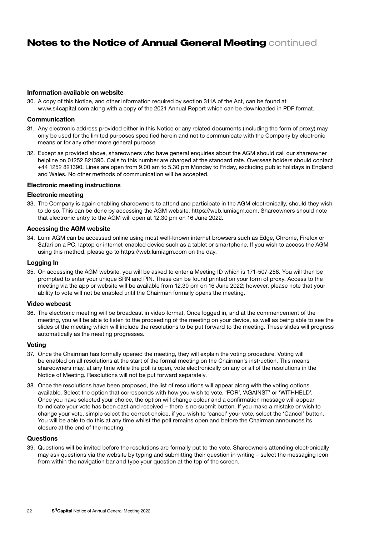## **Notes to the Notice of Annual General Meeting continued**

#### Information available on website

30. A copy of this Notice, and other information required by section 311A of the Act, can be found at www.s4capital.com along with a copy of the 2021 Annual Report which can be downloaded in PDF format.

#### Communication

- 31. Any electronic address provided either in this Notice or any related documents (including the form of proxy) may only be used for the limited purposes specified herein and not to communicate with the Company by electronic means or for any other more general purpose.
- 32. Except as provided above, shareowners who have general enquiries about the AGM should call our shareowner helpline on 01252 821390. Calls to this number are charged at the standard rate. Overseas holders should contact +44 1252 821390. Lines are open from 9.00 am to 5.30 pm Monday to Friday, excluding public holidays in England and Wales. No other methods of communication will be accepted.

#### Electronic meeting instructions

#### Electronic meeting

33. The Company is again enabling shareowners to attend and participate in the AGM electronically, should they wish to do so. This can be done by accessing the AGM website, https://web.lumiagm.com, Shareowners should note that electronic entry to the AGM will open at 12.30 pm on 16 June 2022.

#### Accessing the AGM website

34. Lumi AGM can be accessed online using most well-known internet browsers such as Edge, Chrome, Firefox or Safari on a PC, laptop or internet-enabled device such as a tablet or smartphone. If you wish to access the AGM using this method, please go to https://web.lumiagm.com on the day.

#### Logging In

35. On accessing the AGM website, you will be asked to enter a Meeting ID which is 171-507-258. You will then be prompted to enter your unique SRN and PIN. These can be found printed on your form of proxy. Access to the meeting via the app or website will be available from 12.30 pm on 16 June 2022; however, please note that your ability to vote will not be enabled until the Chairman formally opens the meeting.

#### Video webcast

36. The electronic meeting will be broadcast in video format. Once logged in, and at the commencement of the meeting, you will be able to listen to the proceeding of the meeting on your device, as well as being able to see the slides of the meeting which will include the resolutions to be put forward to the meeting. These slides will progress automatically as the meeting progresses.

#### Voting

- 37. Once the Chairman has formally opened the meeting, they will explain the voting procedure. Voting will be enabled on all resolutions at the start of the formal meeting on the Chairman's instruction. This means shareowners may, at any time while the poll is open, vote electronically on any or all of the resolutions in the Notice of Meeting. Resolutions will not be put forward separately.
- 38. Once the resolutions have been proposed, the list of resolutions will appear along with the voting options available. Select the option that corresponds with how you wish to vote, 'FOR', 'AGAINST' or 'WITHHELD'. Once you have selected your choice, the option will change colour and a confirmation message will appear to indicate your vote has been cast and received – there is no submit button. If you make a mistake or wish to change your vote, simple select the correct choice, if you wish to 'cancel' your vote, select the 'Cancel' button. You will be able to do this at any time whilst the poll remains open and before the Chairman announces its closure at the end of the meeting.

#### **Questions**

39. Questions will be invited before the resolutions are formally put to the vote. Shareowners attending electronically may ask questions via the website by typing and submitting their question in writing – select the messaging icon from within the navigation bar and type your question at the top of the screen.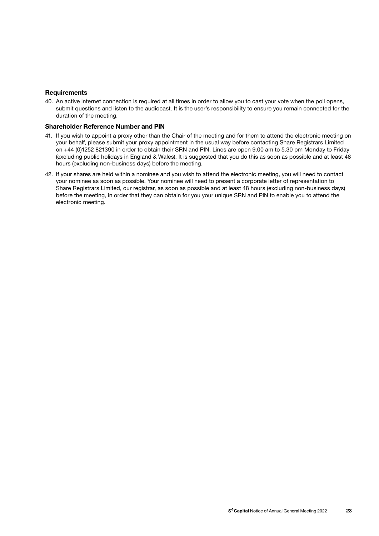#### **Requirements**

40. An active internet connection is required at all times in order to allow you to cast your vote when the poll opens, submit questions and listen to the audiocast. It is the user's responsibility to ensure you remain connected for the duration of the meeting.

#### Shareholder Reference Number and PIN

- 41. If you wish to appoint a proxy other than the Chair of the meeting and for them to attend the electronic meeting on your behalf, please submit your proxy appointment in the usual way before contacting Share Registrars Limited on +44 (0)1252 821390 in order to obtain their SRN and PIN. Lines are open 9.00 am to 5.30 pm Monday to Friday (excluding public holidays in England & Wales). It is suggested that you do this as soon as possible and at least 48 hours (excluding non-business days) before the meeting.
- 42. If your shares are held within a nominee and you wish to attend the electronic meeting, you will need to contact your nominee as soon as possible. Your nominee will need to present a corporate letter of representation to Share Registrars Limited, our registrar, as soon as possible and at least 48 hours (excluding non-business days) before the meeting, in order that they can obtain for you your unique SRN and PIN to enable you to attend the electronic meeting.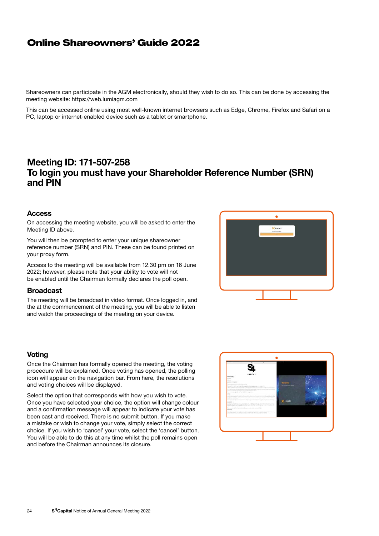## Online Shareowners' Guide 2022

Shareowners can participate in the AGM electronically, should they wish to do so. This can be done by accessing the meeting website: https://web.lumiagm.com

This can be accessed online using most well-known internet browsers such as Edge, Chrome, Firefox and Safari on a PC, laptop or internet-enabled device such as a tablet or smartphone.

## Meeting ID: 171-507-258 To login you must have your Shareholder Reference Number (SRN) and PIN

### **Access**

On accessing the meeting website, you will be asked to enter the Meeting ID above.

You will then be prompted to enter your unique shareowner reference number (SRN) and PIN. These can be found printed on your proxy form.

Access to the meeting will be available from 12.30 pm on 16 June 2022; however, please note that your ability to vote will not be enabled until the Chairman formally declares the poll open.

### **Broadcast**

The meeting will be broadcast in video format. Once logged in, and the at the commencement of the meeting, you will be able to listen and watch the proceedings of the meeting on your device.

### **Voting**

Once the Chairman has formally opened the meeting, the voting procedure will be explained. Once voting has opened, the polling icon will appear on the navigation bar. From here, the resolutions and voting choices will be displayed.

Select the option that corresponds with how you wish to vote. Once you have selected your choice, the option will change colour and a confirmation message will appear to indicate your vote has been cast and received. There is no submit button. If you make a mistake or wish to change your vote, simply select the correct choice. If you wish to 'cancel' your vote, select the 'cancel' button. You will be able to do this at any time whilst the poll remains open and before the Chairman announces its closure.



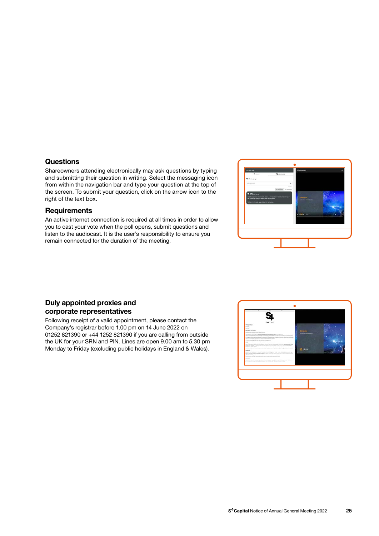### **Questions**

Shareowners attending electronically may ask questions by typing and submitting their question in writing. Select the messaging icon from within the navigation bar and type your question at the top of the screen. To submit your question, click on the arrow icon to the right of the text box.

### **Requirements**

An active internet connection is required at all times in order to allow you to cast your vote when the poll opens, submit questions and listen to the audiocast. It is the user's responsibility to ensure you remain connected for the duration of the meeting.



## Duly appointed proxies and corporate representatives

Following receipt of a valid appointment, please contact the Company's registrar before 1.00 pm on 14 June 2022 on 01252 821390 or +44 1252 821390 if you are calling from outside the UK for your SRN and PIN. Lines are open 9.00 am to 5.30 pm Monday to Friday (excluding public holidays in England & Wales).